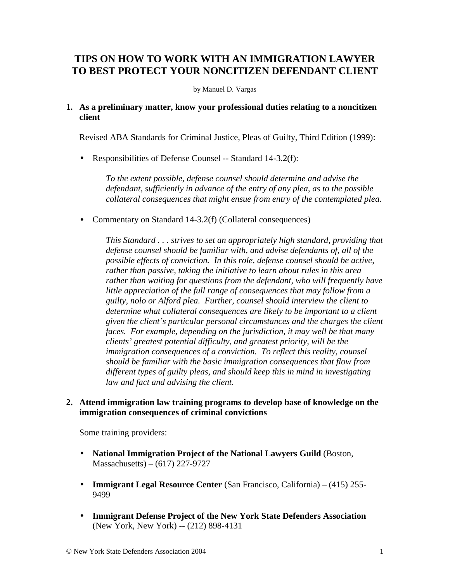# **TIPS ON HOW TO WORK WITH AN IMMIGRATION LAWYER TO BEST PROTECT YOUR NONCITIZEN DEFENDANT CLIENT**

#### by Manuel D. Vargas

#### **1. As a preliminary matter, know your professional duties relating to a noncitizen client**

Revised ABA Standards for Criminal Justice, Pleas of Guilty, Third Edition (1999):

• Responsibilities of Defense Counsel -- Standard 14-3.2(f):

*To the extent possible, defense counsel should determine and advise the defendant, sufficiently in advance of the entry of any plea, as to the possible collateral consequences that might ensue from entry of the contemplated plea.* 

• Commentary on Standard 14-3.2(f) (Collateral consequences)

*This Standard . . . strives to set an appropriately high standard, providing that defense counsel should be familiar with, and advise defendants of, all of the possible effects of conviction. In this role, defense counsel should be active, rather than passive, taking the initiative to learn about rules in this area rather than waiting for questions from the defendant, who will frequently have little appreciation of the full range of consequences that may follow from a guilty, nolo or Alford plea. Further, counsel should interview the client to determine what collateral consequences are likely to be important to a client given the client's particular personal circumstances and the charges the client faces. For example, depending on the jurisdiction, it may well be that many clients' greatest potential difficulty, and greatest priority, will be the immigration consequences of a conviction. To reflect this reality, counsel should be familiar with the basic immigration consequences that flow from different types of guilty pleas, and should keep this in mind in investigating law and fact and advising the client.* 

### **2. Attend immigration law training programs to develop base of knowledge on the immigration consequences of criminal convictions**

Some training providers:

- **National Immigration Project of the National Lawyers Guild** (Boston, Massachusetts) – (617) 227-9727
- **Immigrant Legal Resource Center** (San Francisco, California) (415) 255- 9499
- **Immigrant Defense Project of the New York State Defenders Association** (New York, New York) -- (212) 898-4131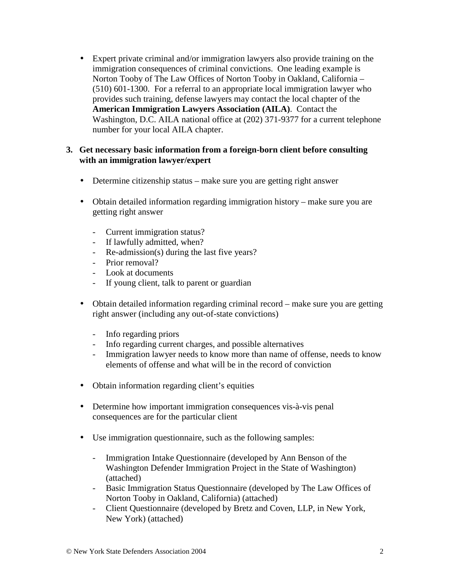• Expert private criminal and/or immigration lawyers also provide training on the immigration consequences of criminal convictions. One leading example is Norton Tooby of The Law Offices of Norton Tooby in Oakland, California – (510) 601-1300. For a referral to an appropriate local immigration lawyer who provides such training, defense lawyers may contact the local chapter of the **American Immigration Lawyers Association (AILA)**. Contact the Washington, D.C. AILA national office at (202) 371-9377 for a current telephone number for your local AILA chapter.

## **3. Get necessary basic information from a foreign-born client before consulting with an immigration lawyer/expert**

- Determine citizenship status make sure you are getting right answer
- Obtain detailed information regarding immigration history make sure you are getting right answer
	- Current immigration status?
	- If lawfully admitted, when?
	- Re-admission(s) during the last five years?
	- Prior removal?
	- Look at documents
	- If young client, talk to parent or guardian
- Obtain detailed information regarding criminal record make sure you are getting right answer (including any out-of-state convictions)
	- Info regarding priors
	- Info regarding current charges, and possible alternatives
	- Immigration lawyer needs to know more than name of offense, needs to know elements of offense and what will be in the record of conviction
- Obtain information regarding client's equities
- Determine how important immigration consequences vis-à-vis penal consequences are for the particular client
- Use immigration questionnaire, such as the following samples:
	- Immigration Intake Questionnaire (developed by Ann Benson of the Washington Defender Immigration Project in the State of Washington) (attached)
	- Basic Immigration Status Questionnaire (developed by The Law Offices of Norton Tooby in Oakland, California) (attached)
	- Client Questionnaire (developed by Bretz and Coven, LLP, in New York, New York) (attached)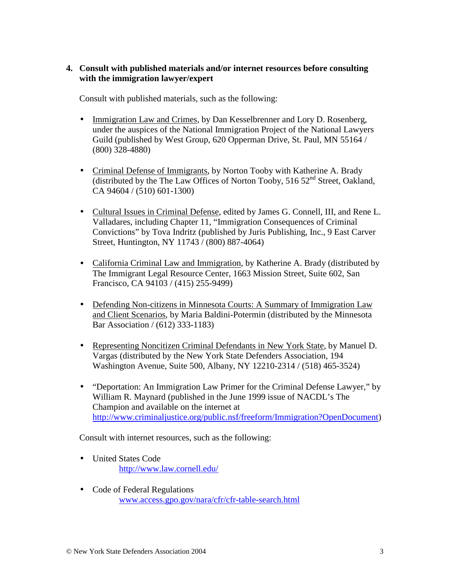## **4. Consult with published materials and/or internet resources before consulting with the immigration lawyer/expert**

Consult with published materials, such as the following:

- Immigration Law and Crimes, by Dan Kesselbrenner and Lory D. Rosenberg, under the auspices of the National Immigration Project of the National Lawyers Guild (published by West Group, 620 Opperman Drive, St. Paul, MN 55164 / (800) 328-4880)
- Criminal Defense of Immigrants, by Norton Tooby with Katherine A. Brady (distributed by the The Law Offices of Norton Tooby,  $51652<sup>nd</sup>$  Street, Oakland, CA 94604 / (510) 601-1300)
- Cultural Issues in Criminal Defense, edited by James G. Connell, III, and Rene L. Valladares, including Chapter 11, "Immigration Consequences of Criminal Convictions" by Tova Indritz (published by Juris Publishing, Inc., 9 East Carver Street, Huntington, NY 11743 / (800) 887-4064)
- California Criminal Law and Immigration, by Katherine A. Brady (distributed by The Immigrant Legal Resource Center, 1663 Mission Street, Suite 602, San Francisco, CA 94103 / (415) 255-9499)
- Defending Non-citizens in Minnesota Courts: A Summary of Immigration Law and Client Scenarios, by Maria Baldini-Potermin (distributed by the Minnesota Bar Association / (612) 333-1183)
- Representing Noncitizen Criminal Defendants in New York State, by Manuel D. Vargas (distributed by the New York State Defenders Association, 194 Washington Avenue, Suite 500, Albany, NY 12210-2314 / (518) 465-3524)
- "Deportation: An Immigration Law Primer for the Criminal Defense Lawyer," by William R. Maynard (published in the June 1999 issue of NACDL's The Champion and available on the internet at [http://www.criminaljustice.org/public.nsf/freeform/Immigration?OpenDocument\)](http://www.criminaljustice.org/public.nsf/freeform/Immigration?OpenDocument)

Consult with internet resources, such as the following:

- United States Code <http://www.law.cornell.edu/>
- Code of Federal Regulations [www.access.gpo.gov/nara/cfr/cfr-table-search.html](http://www.access.gpo.gov/nara/cfr/cfr-table-search.html)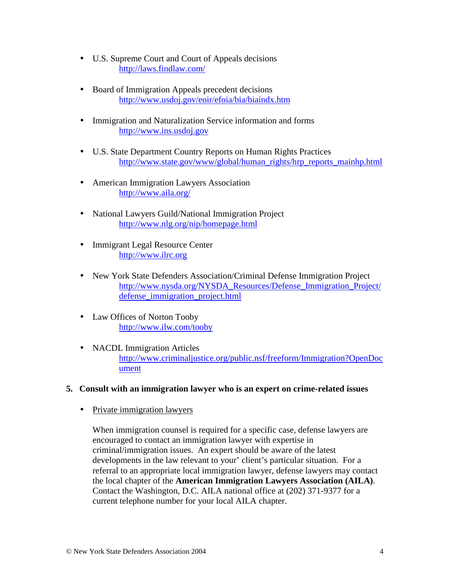- U.S. Supreme Court and Court of Appeals decisions <http://laws.findlaw.com/>
- Board of Immigration Appeals precedent decisions <http://www.usdoj.gov/eoir/efoia/bia/biaindx.htm>
- Immigration and Naturalization Service information and forms [http://www.ins.usdoj.gov](http://www.ins.usdoj.gov/)
- U.S. State Department Country Reports on Human Rights Practices [http://www.state.gov/www/global/human\\_rights/hrp\\_reports\\_mainhp.html](http://www.state.gov/www/global/human_rights/hrp_reports_mainhp.html)
- American Immigration Lawyers Association <http://www.aila.org/>
- National Lawyers Guild/National Immigration Project <http://www.nlg.org/nip/homepage.html>
- Immigrant Legal Resource Center [http://www.ilrc.org](http://www.ilrc.org/)
- New York State Defenders Association/Criminal Defense Immigration Project [http://www.nysda.org/NYSDA\\_Resources/Defense\\_Immigration\\_Project/](http://www.nysda.org/NYSDA_Resources/Defense_Immigration_Project/defense_immigration_project.html) [defense\\_immigration\\_project.html](http://www.nysda.org/NYSDA_Resources/Defense_Immigration_Project/defense_immigration_project.html)
- Law Offices of Norton Tooby <http://www.ilw.com/tooby>
- NACDL Immigration Articles [http://www.criminaljustice.org/public.nsf/freeform/Immigration?OpenDoc](http://www.criminaljustice.org/public.nsf/freeform/Immigration?OpenDocument) [ument](http://www.criminaljustice.org/public.nsf/freeform/Immigration?OpenDocument)
- **5. Consult with an immigration lawyer who is an expert on crime-related issues** 
	- Private immigration lawyers

When immigration counsel is required for a specific case, defense lawyers are encouraged to contact an immigration lawyer with expertise in criminal/immigration issues. An expert should be aware of the latest developments in the law relevant to your' client's particular situation. For a referral to an appropriate local immigration lawyer, defense lawyers may contact the local chapter of the **American Immigration Lawyers Association (AILA)**. Contact the Washington, D.C. AILA national office at (202) 371-9377 for a current telephone number for your local AILA chapter.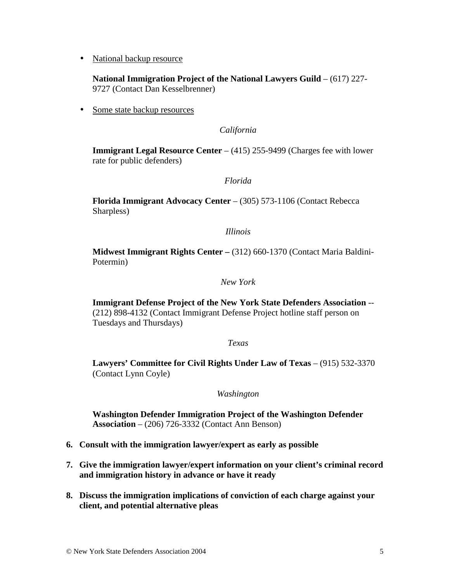• National backup resource

**National Immigration Project of the National Lawyers Guild** – (617) 227- 9727 (Contact Dan Kesselbrenner)

• Some state backup resources

*California* 

**Immigrant Legal Resource Center** – (415) 255-9499 (Charges fee with lower rate for public defenders)

*Florida* 

**Florida Immigrant Advocacy Center** – (305) 573-1106 (Contact Rebecca Sharpless)

*Illinois* 

**Midwest Immigrant Rights Center –** (312) 660-1370 (Contact Maria Baldini-Potermin)

*New York* 

**Immigrant Defense Project of the New York State Defenders Association** -- (212) 898-4132 (Contact Immigrant Defense Project hotline staff person on Tuesdays and Thursdays)

*Texas* 

**Lawyers' Committee for Civil Rights Under Law of Texas** – (915) 532-3370 (Contact Lynn Coyle)

*Washington* 

**Washington Defender Immigration Project of the Washington Defender Association** – (206) 726-3332 (Contact Ann Benson)

- **6. Consult with the immigration lawyer/expert as early as possible**
- **7. Give the immigration lawyer/expert information on your client's criminal record and immigration history in advance or have it ready**
- **8. Discuss the immigration implications of conviction of each charge against your client, and potential alternative pleas**